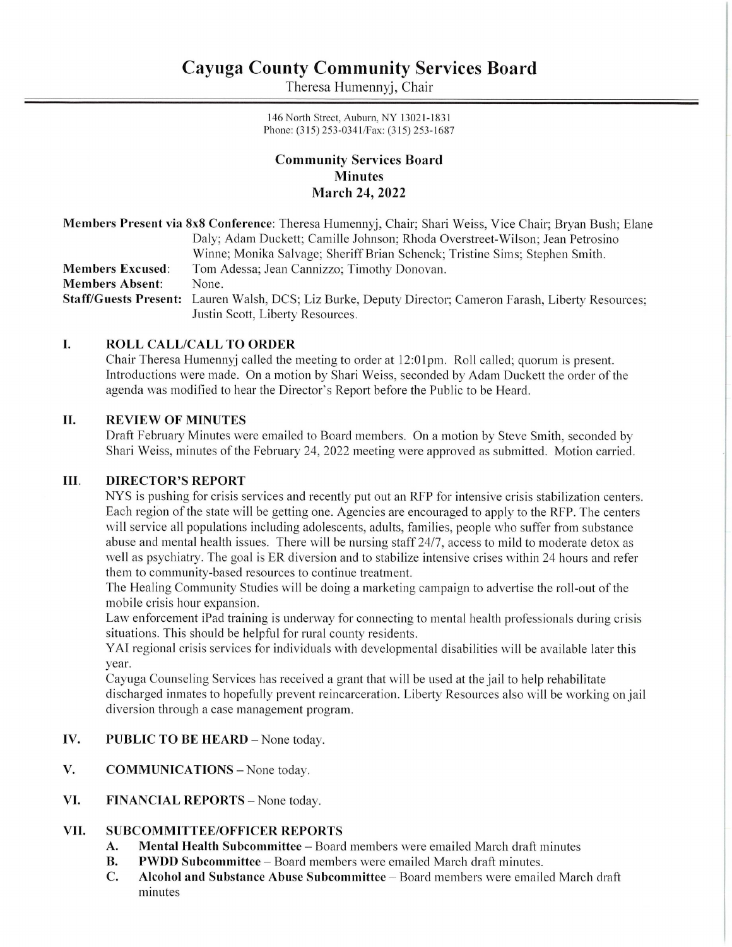# Cayuga County Community Services Board **Cayuga County Comn**<br>Theresa Hum Cayuga County Comn<br>Theresa Hum

Theresa Humennyj, Chair

146 North Street, Auburn, NY 13021-1831 Phone: (315) 253-034 1/Fax: (315) 253-1687

# Community Services Board Minutes March 24, 2022

Members Present via 8x8 Conference: Theresa Humennyj, Chair; Shari Weiss, Vice Chair; Bryan Bush; Elane Daly; Adam Duckett; Camille Johnson; Rhoda Overstreet-Wilson; Jean Petrosino Winne; Monika Salvage; Sheriff Brian Schenck; Tristine Sims; Stephen Smith. Members Excused: Tom Adessa; Jean Cannizzo; Timothy Donovan. Members Absent: None. Staff/Guests Present: Lauren Walsh, DCS; Liz Burke, Deputy Director; Cameron Farash, Liberty Resources; Justin Scott, Liberty Resources.

### I. ROLL CALL/CALL TO ORDER

Chair Theresa Humennyj called the meeting to order at 12:01pm. Roll called; quorum is present. Introductions were made. On a motion by Shari Weiss, seconded by Adam Duckett the order of the agenda was modified to hear the Director's Report before the Public to be Heard.

### II. REVIEW OF MINUTES

Draft February Minutes were emailed to Board members. On a motion by Steve Smith, seconded by Shari Weiss, minutes of the February 24, 2022 meeting were approved as submitted. Motion carried.

### Il. DIRECTOR'S REPORT

NYS is pushing for crisis services and recently put out an RFP for intensive crisis stabilization centers. Each region of the state will be getting one. Agencies are encouraged to apply to the RFP. The centers will service all populations including adolescents, adults, families, people who suffer from substance abuse and mental health issues. There will be nursing staff 24/7, access to mild to moderate detox as well as psychiatry. The goal is ER diversion and to stabilize intensive crises within 24 hours and refer them to community-based resources to continue treatment.

The Healing Community Studies will be doing a marketing campaign to advertise the roll-out of the mobile crisis hour expansion.

Law enforcement iPad training is underway for connecting to mental health professionals during crisis situations. This should be helpful for rural county residents.

YAI regional crisis services for individuals with developmental disabilities will be available later this year.

Cayuga Counseling Services has received a grant that will be used at the jail to help rehabilitate discharged inmates to hopefully prevent reincarceration. Liberty Resources also will be working on jail diversion through a case management program.

### IV. PUBLIC TO BE HEARD — None today.

- V. COMMUNICATIONS — None today.
- VI. FINANCIAL REPORTS - None today.

### VIL. SUBCOMMITTEE/OFFICER REPORTS

- A. Mental Health Subcommittee Board members were emailed March draft minutes
- B. PWDD Subcommittee Board members were emailed March draft minutes.
- C. Alcohol and Substance Abuse Subcommittee Board members were emailed March draft minutes